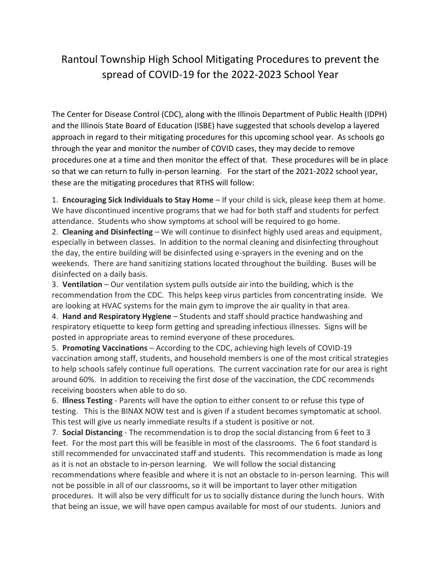## Rantoul Township High School Mitigating Procedures to prevent the spread of COVID-19 for the 2022-2023 School Year

The Center for Disease Control (CDC), along with the Illinois Department of Public Health (IDPH) and the Illinois State Board of Education (ISBE) have suggested that schools develop a layered approach in regard to their mitigating procedures for this upcoming school year. As schools go through the year and monitor the number of COVID cases, they may decide to remove procedures one at a time and then monitor the effect of that. These procedures will be in place so that we can return to fully in-person learning. For the start of the 2021-2022 school year, these are the mitigating procedures that RTHS will follow:

1. **Encouraging Sick Individuals to Stay Home** – If your child is sick, please keep them at home. We have discontinued incentive programs that we had for both staff and students for perfect attendance. Students who show symptoms at school will be required to go home.

2. **Cleaning and Disinfecting** – We will continue to disinfect highly used areas and equipment, especially in between classes. In addition to the normal cleaning and disinfecting throughout the day, the entire building will be disinfected using e-sprayers in the evening and on the weekends. There are hand sanitizing stations located throughout the building. Buses will be disinfected on a daily basis.

3. **Ventilation** – Our ventilation system pulls outside air into the building, which is the recommendation from the CDC. This helps keep virus particles from concentrating inside. We are looking at HVAC systems for the main gym to improve the air quality in that area.

4. **Hand and Respiratory Hygiene** – Students and staff should practice handwashing and respiratory etiquette to keep form getting and spreading infectious illnesses. Signs will be posted in appropriate areas to remind everyone of these procedures.

5. **Promoting Vaccinations** – According to the CDC, achieving high levels of COVID-19 vaccination among staff, students, and household members is one of the most critical strategies to help schools safely continue full operations. The current vaccination rate for our area is right around 60%. In addition to receiving the first dose of the vaccination, the CDC recommends receiving boosters when able to do so.

6. **Illness Testing** - Parents will have the option to either consent to or refuse this type of testing. This is the BINAX NOW test and is given if a student becomes symptomatic at school. This test will give us nearly immediate results if a student is positive or not.

7. **Social Distancing** - The recommendation is to drop the social distancing from 6 feet to 3 feet. For the most part this will be feasible in most of the classrooms. The 6 foot standard is still recommended for unvaccinated staff and students. This recommendation is made as long as it is not an obstacle to in-person learning. We will follow the social distancing recommendations where feasible and where it is not an obstacle to in-person learning. This will not be possible in all of our classrooms, so it will be important to layer other mitigation procedures. It will also be very difficult for us to socially distance during the lunch hours. With that being an issue, we will have open campus available for most of our students. Juniors and